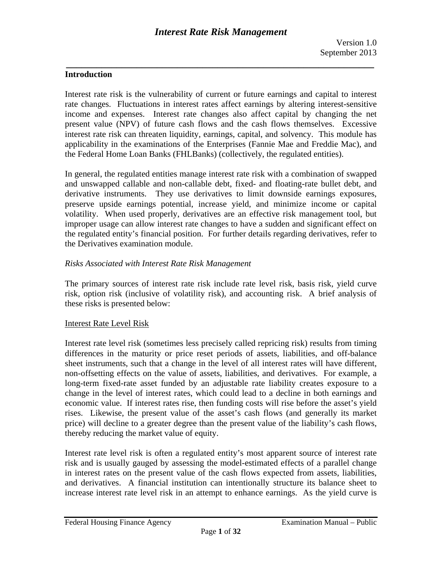# **Introduction**

Interest rate risk is the vulnerability of current or future earnings and capital to interest rate changes. Fluctuations in interest rates affect earnings by altering interest-sensitive income and expenses. Interest rate changes also affect capital by changing the net present value (NPV) of future cash flows and the cash flows themselves. Excessive interest rate risk can threaten liquidity, earnings, capital, and solvency. This module has applicability in the examinations of the Enterprises (Fannie Mae and Freddie Mac), and the Federal Home Loan Banks (FHLBanks) (collectively, the regulated entities).

In general, the regulated entities manage interest rate risk with a combination of swapped and unswapped callable and non-callable debt, fixed- and floating-rate bullet debt, and derivative instruments. They use derivatives to limit downside earnings exposures, preserve upside earnings potential, increase yield, and minimize income or capital volatility. When used properly, derivatives are an effective risk management tool, but improper usage can allow interest rate changes to have a sudden and significant effect on the regulated entity's financial position. For further details regarding derivatives, refer to the Derivatives examination module.

# *Risks Associated with Interest Rate Risk Management*

The primary sources of interest rate risk include rate level risk, basis risk, yield curve risk, option risk (inclusive of volatility risk), and accounting risk. A brief analysis of these risks is presented below:

### Interest Rate Level Risk

Interest rate level risk (sometimes less precisely called repricing risk) results from timing differences in the maturity or price reset periods of assets, liabilities, and off-balance sheet instruments, such that a change in the level of all interest rates will have different, non-offsetting effects on the value of assets, liabilities, and derivatives. For example, a long-term fixed-rate asset funded by an adjustable rate liability creates exposure to a change in the level of interest rates, which could lead to a decline in both earnings and economic value. If interest rates rise, then funding costs will rise before the asset's yield rises. Likewise, the present value of the asset's cash flows (and generally its market price) will decline to a greater degree than the present value of the liability's cash flows, thereby reducing the market value of equity.

Interest rate level risk is often a regulated entity's most apparent source of interest rate risk and is usually gauged by assessing the model-estimated effects of a parallel change in interest rates on the present value of the cash flows expected from assets, liabilities, and derivatives. A financial institution can intentionally structure its balance sheet to increase interest rate level risk in an attempt to enhance earnings. As the yield curve is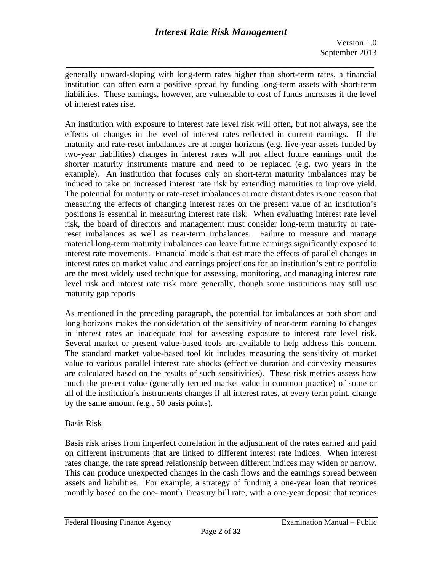Version 1.0 September 2013

*\_\_\_\_\_\_\_\_\_\_\_\_\_\_\_\_\_\_\_\_\_\_\_\_\_\_\_\_\_\_\_\_\_\_\_\_\_\_\_\_\_\_\_\_\_\_\_\_\_\_\_\_\_\_\_\_\_\_\_\_\_*  generally upward-sloping with long-term rates higher than short-term rates, a financial institution can often earn a positive spread by funding long-term assets with short-term liabilities. These earnings, however, are vulnerable to cost of funds increases if the level of interest rates rise.

induced to take on increased interest rate risk by extending maturities to improve yield. An institution with exposure to interest rate level risk will often, but not always, see the effects of changes in the level of interest rates reflected in current earnings. If the maturity and rate-reset imbalances are at longer horizons (e.g. five-year assets funded by two-year liabilities) changes in interest rates will not affect future earnings until the shorter maturity instruments mature and need to be replaced (e.g. two years in the example). An institution that focuses only on short-term maturity imbalances may be The potential for maturity or rate-reset imbalances at more distant dates is one reason that measuring the effects of changing interest rates on the present value of an institution's positions is essential in measuring interest rate risk. When evaluating interest rate level risk, the board of directors and management must consider long-term maturity or ratereset imbalances as well as near-term imbalances. Failure to measure and manage material long-term maturity imbalances can leave future earnings significantly exposed to interest rate movements. Financial models that estimate the effects of parallel changes in interest rates on market value and earnings projections for an institution's entire portfolio are the most widely used technique for assessing, monitoring, and managing interest rate level risk and interest rate risk more generally, though some institutions may still use maturity gap reports.

As mentioned in the preceding paragraph, the potential for imbalances at both short and long horizons makes the consideration of the sensitivity of near-term earning to changes in interest rates an inadequate tool for assessing exposure to interest rate level risk. Several market or present value-based tools are available to help address this concern. The standard market value-based tool kit includes measuring the sensitivity of market value to various parallel interest rate shocks (effective duration and convexity measures are calculated based on the results of such sensitivities). These risk metrics assess how much the present value (generally termed market value in common practice) of some or all of the institution's instruments changes if all interest rates, at every term point, change by the same amount (e.g., 50 basis points).

# Basis Risk

Basis risk arises from imperfect correlation in the adjustment of the rates earned and paid on different instruments that are linked to different interest rate indices. When interest rates change, the rate spread relationship between different indices may widen or narrow. This can produce unexpected changes in the cash flows and the earnings spread between assets and liabilities. For example, a strategy of funding a one-year loan that reprices monthly based on the one- month Treasury bill rate, with a one-year deposit that reprices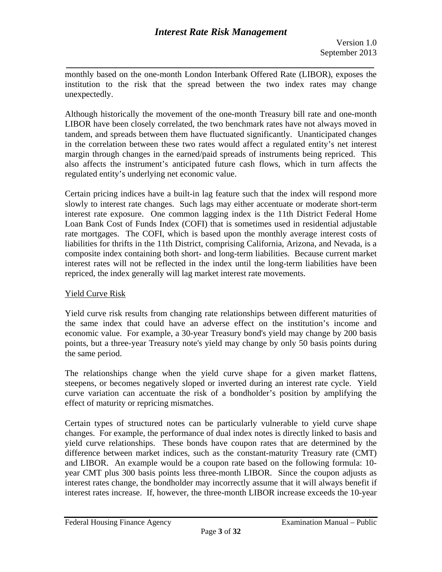*\_\_\_\_\_\_\_\_\_\_\_\_\_\_\_\_\_\_\_\_\_\_\_\_\_\_\_\_\_\_\_\_\_\_\_\_\_\_\_\_\_\_\_\_\_\_\_\_\_\_\_\_\_\_\_\_\_\_\_\_\_*  monthly based on the one-month London Interbank Offered Rate (LIBOR), exposes the institution to the risk that the spread between the two index rates may change unexpectedly.

Although historically the movement of the one-month Treasury bill rate and one-month LIBOR have been closely correlated, the two benchmark rates have not always moved in tandem, and spreads between them have fluctuated significantly. Unanticipated changes in the correlation between these two rates would affect a regulated entity's net interest margin through changes in the earned/paid spreads of instruments being repriced. This also affects the instrument's anticipated future cash flows, which in turn affects the regulated entity's underlying net economic value.

Certain pricing indices have a built-in lag feature such that the index will respond more slowly to interest rate changes. Such lags may either accentuate or moderate short-term interest rate exposure. One common lagging index is the 11th District Federal Home Loan Bank Cost of Funds Index (COFI) that is sometimes used in residential adjustable rate mortgages. The COFI, which is based upon the monthly average interest costs of liabilities for thrifts in the 11th District, comprising California, Arizona, and Nevada, is a composite index containing both short- and long-term liabilities. Because current market interest rates will not be reflected in the index until the long-term liabilities have been repriced, the index generally will lag market interest rate movements.

# Yield Curve Risk

Yield curve risk results from changing rate relationships between different maturities of the same index that could have an adverse effect on the institution's income and economic value. For example, a 30-year Treasury bond's yield may change by 200 basis points, but a three-year Treasury note's yield may change by only 50 basis points during the same period.

The relationships change when the yield curve shape for a given market flattens, steepens, or becomes negatively sloped or inverted during an interest rate cycle. Yield curve variation can accentuate the risk of a bondholder's position by amplifying the effect of maturity or repricing mismatches.

Certain types of structured notes can be particularly vulnerable to yield curve shape changes. For example, the performance of dual index notes is directly linked to basis and yield curve relationships. These bonds have coupon rates that are determined by the difference between market indices, such as the constant-maturity Treasury rate (CMT) and LIBOR. An example would be a coupon rate based on the following formula: 10 year CMT plus 300 basis points less three-month LIBOR. Since the coupon adjusts as interest rates change, the bondholder may incorrectly assume that it will always benefit if interest rates increase. If, however, the three-month LIBOR increase exceeds the 10-year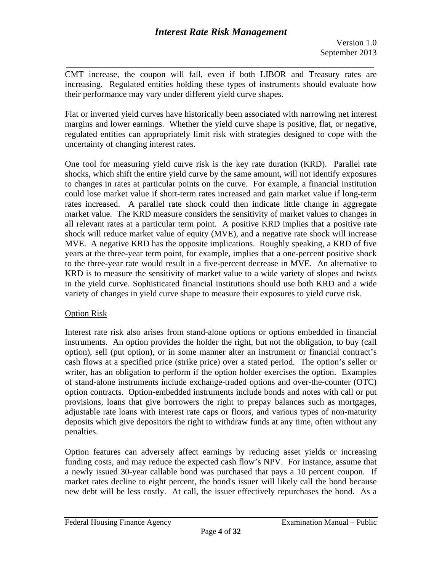*\_\_\_\_\_\_\_\_\_\_\_\_\_\_\_\_\_\_\_\_\_\_\_\_\_\_\_\_\_\_\_\_\_\_\_\_\_\_\_\_\_\_\_\_\_\_\_\_\_\_\_\_\_\_\_\_\_\_\_\_\_*  CMT increase, the coupon will fall, even if both LIBOR and Treasury rates are increasing. Regulated entities holding these types of instruments should evaluate how their performance may vary under different yield curve shapes.

Flat or inverted yield curves have historically been associated with narrowing net interest margins and lower earnings. Whether the yield curve shape is positive, flat, or negative, regulated entities can appropriately limit risk with strategies designed to cope with the uncertainty of changing interest rates.

One tool for measuring yield curve risk is the key rate duration (KRD). Parallel rate shocks, which shift the entire yield curve by the same amount, will not identify exposures to changes in rates at particular points on the curve. For example, a financial institution could lose market value if short-term rates increased and gain market value if long-term rates increased. A parallel rate shock could then indicate little change in aggregate market value. The KRD measure considers the sensitivity of market values to changes in all relevant rates at a particular term point. A positive KRD implies that a positive rate shock will reduce market value of equity (MVE), and a negative rate shock will increase MVE. A negative KRD has the opposite implications. Roughly speaking, a KRD of five years at the three-year term point, for example, implies that a one-percent positive shock to the three-year rate would result in a five-percent decrease in MVE. An alternative to KRD is to measure the sensitivity of market value to a wide variety of slopes and twists in the yield curve. Sophisticated financial institutions should use both KRD and a wide variety of changes in yield curve shape to measure their exposures to yield curve risk.

# Option Risk

penalties. Interest rate risk also arises from stand-alone options or options embedded in financial instruments. An option provides the holder the right, but not the obligation, to buy (call option), sell (put option), or in some manner alter an instrument or financial contract's cash flows at a specified price (strike price) over a stated period. The option's seller or writer, has an obligation to perform if the option holder exercises the option. Examples of stand-alone instruments include exchange-traded options and over-the-counter (OTC) option contracts. Option-embedded instruments include bonds and notes with call or put provisions, loans that give borrowers the right to prepay balances such as mortgages, adjustable rate loans with interest rate caps or floors, and various types of non-maturity deposits which give depositors the right to withdraw funds at any time, often without any

Option features can adversely affect earnings by reducing asset yields or increasing funding costs, and may reduce the expected cash flow's NPV. For instance, assume that a newly issued 30-year callable bond was purchased that pays a 10 percent coupon. If market rates decline to eight percent, the bond's issuer will likely call the bond because new debt will be less costly. At call, the issuer effectively repurchases the bond. As a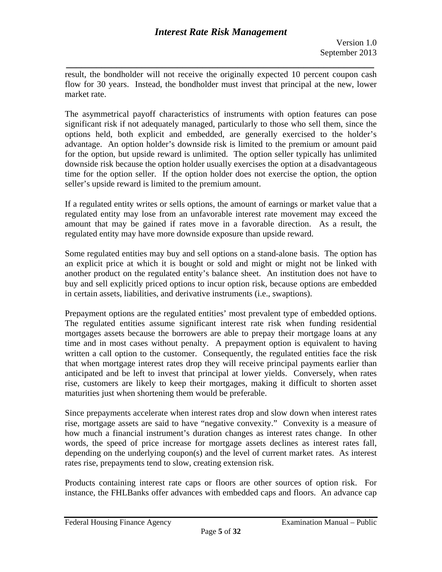*\_\_\_\_\_\_\_\_\_\_\_\_\_\_\_\_\_\_\_\_\_\_\_\_\_\_\_\_\_\_\_\_\_\_\_\_\_\_\_\_\_\_\_\_\_\_\_\_\_\_\_\_\_\_\_\_\_\_\_\_\_*  result, the bondholder will not receive the originally expected 10 percent coupon cash flow for 30 years. Instead, the bondholder must invest that principal at the new, lower market rate.

The asymmetrical payoff characteristics of instruments with option features can pose significant risk if not adequately managed, particularly to those who sell them, since the options held, both explicit and embedded, are generally exercised to the holder's advantage. An option holder's downside risk is limited to the premium or amount paid for the option, but upside reward is unlimited. The option seller typically has unlimited downside risk because the option holder usually exercises the option at a disadvantageous time for the option seller. If the option holder does not exercise the option, the option seller's upside reward is limited to the premium amount.

If a regulated entity writes or sells options, the amount of earnings or market value that a regulated entity may lose from an unfavorable interest rate movement may exceed the amount that may be gained if rates move in a favorable direction. As a result, the regulated entity may have more downside exposure than upside reward.

Some regulated entities may buy and sell options on a stand-alone basis. The option has an explicit price at which it is bought or sold and might or might not be linked with another product on the regulated entity's balance sheet. An institution does not have to buy and sell explicitly priced options to incur option risk, because options are embedded in certain assets, liabilities, and derivative instruments (i.e., swaptions).

Prepayment options are the regulated entities' most prevalent type of embedded options. The regulated entities assume significant interest rate risk when funding residential mortgages assets because the borrowers are able to prepay their mortgage loans at any time and in most cases without penalty. A prepayment option is equivalent to having written a call option to the customer. Consequently, the regulated entities face the risk that when mortgage interest rates drop they will receive principal payments earlier than anticipated and be left to invest that principal at lower yields. Conversely, when rates rise, customers are likely to keep their mortgages, making it difficult to shorten asset maturities just when shortening them would be preferable.

Since prepayments accelerate when interest rates drop and slow down when interest rates rise, mortgage assets are said to have "negative convexity." Convexity is a measure of how much a financial instrument's duration changes as interest rates change. In other words, the speed of price increase for mortgage assets declines as interest rates fall, depending on the underlying coupon(s) and the level of current market rates. As interest rates rise, prepayments tend to slow, creating extension risk.

Products containing interest rate caps or floors are other sources of option risk. For instance, the FHLBanks offer advances with embedded caps and floors. An advance cap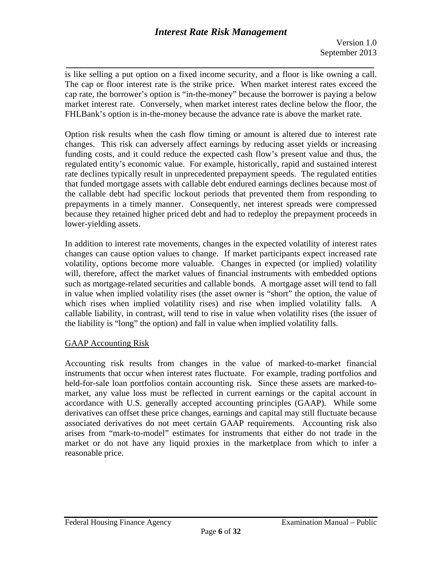*\_\_\_\_\_\_\_\_\_\_\_\_\_\_\_\_\_\_\_\_\_\_\_\_\_\_\_\_\_\_\_\_\_\_\_\_\_\_\_\_\_\_\_\_\_\_\_\_\_\_\_\_\_\_\_\_\_\_\_\_\_*  is like selling a put option on a fixed income security, and a floor is like owning a call. The cap or floor interest rate is the strike price. When market interest rates exceed the cap rate, the borrower's option is "in-the-money" because the borrower is paying a below market interest rate. Conversely, when market interest rates decline below the floor, the FHLBank's option is in-the-money because the advance rate is above the market rate.

Option risk results when the cash flow timing or amount is altered due to interest rate changes. This risk can adversely affect earnings by reducing asset yields or increasing funding costs, and it could reduce the expected cash flow's present value and thus, the regulated entity's economic value. For example, historically, rapid and sustained interest rate declines typically result in unprecedented prepayment speeds. The regulated entities that funded mortgage assets with callable debt endured earnings declines because most of the callable debt had specific lockout periods that prevented them from responding to prepayments in a timely manner. Consequently, net interest spreads were compressed because they retained higher priced debt and had to redeploy the prepayment proceeds in lower-yielding assets.

In addition to interest rate movements, changes in the expected volatility of interest rates changes can cause option values to change. If market participants expect increased rate volatility, options become more valuable. Changes in expected (or implied) volatility will, therefore, affect the market values of financial instruments with embedded options such as mortgage-related securities and callable bonds. A mortgage asset will tend to fall in value when implied volatility rises (the asset owner is "short" the option, the value of which rises when implied volatility rises) and rise when implied volatility falls. A callable liability, in contrast, will tend to rise in value when volatility rises (the issuer of the liability is "long" the option) and fall in value when implied volatility falls.

# GAAP Accounting Risk

Accounting risk results from changes in the value of marked-to-market financial instruments that occur when interest rates fluctuate. For example, trading portfolios and held-for-sale loan portfolios contain accounting risk. Since these assets are marked-tomarket, any value loss must be reflected in current earnings or the capital account in accordance with U.S. generally accepted accounting principles (GAAP). While some derivatives can offset these price changes, earnings and capital may still fluctuate because associated derivatives do not meet certain GAAP requirements. Accounting risk also arises from "mark-to-model" estimates for instruments that either do not trade in the market or do not have any liquid proxies in the marketplace from which to infer a reasonable price.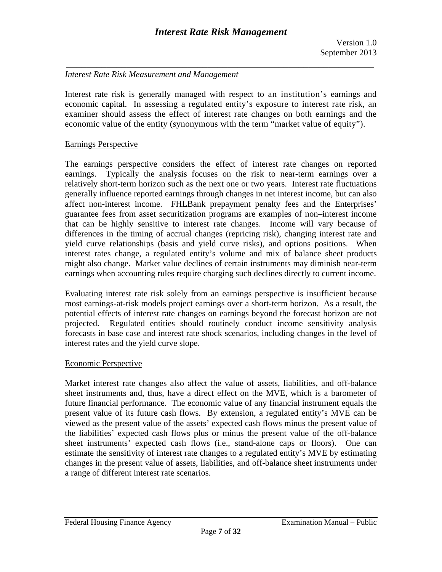## *Interest Rate Risk Measurement and Management*

 Interest rate risk is generally managed with respect to an institution's earnings and economic capital. In assessing a regulated entity's exposure to interest rate risk, an examiner should assess the effect of interest rate changes on both earnings and the economic value of the entity (synonymous with the term "market value of equity").

### Earnings Perspective

The earnings perspective considers the effect of interest rate changes on reported earnings. Typically the analysis focuses on the risk to near-term earnings over a relatively short-term horizon such as the next one or two years. Interest rate fluctuations generally influence reported earnings through changes in net interest income, but can also affect non-interest income. FHLBank prepayment penalty fees and the Enterprises' guarantee fees from asset securitization programs are examples of non–interest income that can be highly sensitive to interest rate changes. Income will vary because of differences in the timing of accrual changes (repricing risk), changing interest rate and yield curve relationships (basis and yield curve risks), and options positions. When interest rates change, a regulated entity's volume and mix of balance sheet products might also change. Market value declines of certain instruments may diminish near-term earnings when accounting rules require charging such declines directly to current income.

Evaluating interest rate risk solely from an earnings perspective is insufficient because most earnings-at-risk models project earnings over a short-term horizon. As a result, the potential effects of interest rate changes on earnings beyond the forecast horizon are not projected. Regulated entities should routinely conduct income sensitivity analysis forecasts in base case and interest rate shock scenarios, including changes in the level of interest rates and the yield curve slope.

# Economic Perspective

Market interest rate changes also affect the value of assets, liabilities, and off-balance sheet instruments and, thus, have a direct effect on the MVE, which is a barometer of future financial performance. The economic value of any financial instrument equals the present value of its future cash flows. By extension, a regulated entity's MVE can be viewed as the present value of the assets' expected cash flows minus the present value of the liabilities' expected cash flows plus or minus the present value of the off-balance sheet instruments' expected cash flows (i.e., stand-alone caps or floors). One can estimate the sensitivity of interest rate changes to a regulated entity's MVE by estimating changes in the present value of assets, liabilities, and off-balance sheet instruments under a range of different interest rate scenarios.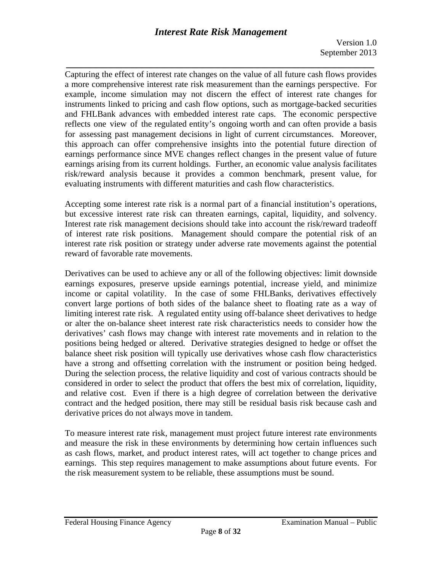*\_\_\_\_\_\_\_\_\_\_\_\_\_\_\_\_\_\_\_\_\_\_\_\_\_\_\_\_\_\_\_\_\_\_\_\_\_\_\_\_\_\_\_\_\_\_\_\_\_\_\_\_\_\_\_\_\_\_\_\_\_*  reflects one view of the regulated entity's ongoing worth and can often provide a basis Capturing the effect of interest rate changes on the value of all future cash flows provides a more comprehensive interest rate risk measurement than the earnings perspective. For example, income simulation may not discern the effect of interest rate changes for instruments linked to pricing and cash flow options, such as mortgage-backed securities and FHLBank advances with embedded interest rate caps. The economic perspective for assessing past management decisions in light of current circumstances. Moreover, this approach can offer comprehensive insights into the potential future direction of earnings performance since MVE changes reflect changes in the present value of future earnings arising from its current holdings. Further, an economic value analysis facilitates risk/reward analysis because it provides a common benchmark, present value, for evaluating instruments with different maturities and cash flow characteristics.

Accepting some interest rate risk is a normal part of a financial institution's operations, but excessive interest rate risk can threaten earnings, capital, liquidity, and solvency. Interest rate risk management decisions should take into account the risk/reward tradeoff of interest rate risk positions. Management should compare the potential risk of an interest rate risk position or strategy under adverse rate movements against the potential reward of favorable rate movements.

derivative prices do not always move in tandem. Derivatives can be used to achieve any or all of the following objectives: limit downside earnings exposures, preserve upside earnings potential, increase yield, and minimize income or capital volatility. In the case of some FHLBanks, derivatives effectively convert large portions of both sides of the balance sheet to floating rate as a way of limiting interest rate risk. A regulated entity using off-balance sheet derivatives to hedge or alter the on-balance sheet interest rate risk characteristics needs to consider how the derivatives' cash flows may change with interest rate movements and in relation to the positions being hedged or altered. Derivative strategies designed to hedge or offset the balance sheet risk position will typically use derivatives whose cash flow characteristics have a strong and offsetting correlation with the instrument or position being hedged. During the selection process, the relative liquidity and cost of various contracts should be considered in order to select the product that offers the best mix of correlation, liquidity, and relative cost. Even if there is a high degree of correlation between the derivative contract and the hedged position, there may still be residual basis risk because cash and

To measure interest rate risk, management must project future interest rate environments and measure the risk in these environments by determining how certain influences such as cash flows, market, and product interest rates, will act together to change prices and earnings. This step requires management to make assumptions about future events. For the risk measurement system to be reliable, these assumptions must be sound.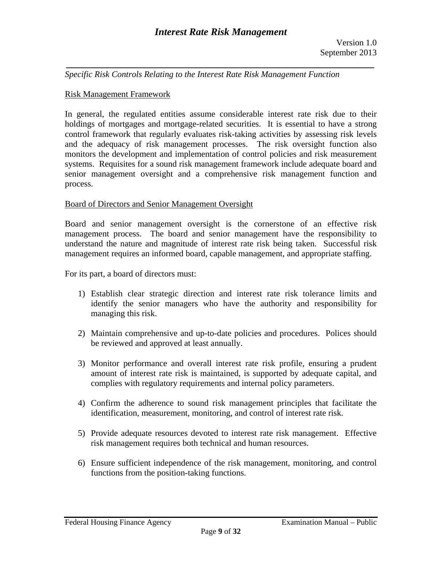*Specific Risk Controls Relating to the Interest Rate Risk Management Function* 

#### Risk Management Framework

In general, the regulated entities assume considerable interest rate risk due to their holdings of mortgages and mortgage-related securities. It is essential to have a strong control framework that regularly evaluates risk-taking activities by assessing risk levels and the adequacy of risk management processes. The risk oversight function also monitors the development and implementation of control policies and risk measurement systems. Requisites for a sound risk management framework include adequate board and senior management oversight and a comprehensive risk management function and process.

#### Board of Directors and Senior Management Oversight

Board and senior management oversight is the cornerstone of an effective risk management process. The board and senior management have the responsibility to understand the nature and magnitude of interest rate risk being taken. Successful risk management requires an informed board, capable management, and appropriate staffing.

For its part, a board of directors must:

- 1) Establish clear strategic direction and interest rate risk tolerance limits and identify the senior managers who have the authority and responsibility for managing this risk.
- 2) Maintain comprehensive and up-to-date policies and procedures. Polices should be reviewed and approved at least annually.
- 3) Monitor performance and overall interest rate risk profile, ensuring a prudent amount of interest rate risk is maintained, is supported by adequate capital, and complies with regulatory requirements and internal policy parameters.
- 4) Confirm the adherence to sound risk management principles that facilitate the identification, measurement, monitoring, and control of interest rate risk.
- 5) Provide adequate resources devoted to interest rate risk management. Effective risk management requires both technical and human resources.
- 6) Ensure sufficient independence of the risk management, monitoring, and control functions from the position-taking functions.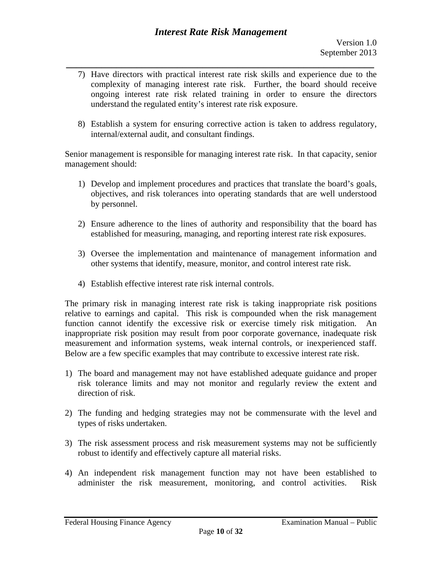- *\_\_\_\_\_\_\_\_\_\_\_\_\_\_\_\_\_\_\_\_\_\_\_\_\_\_\_\_\_\_\_\_\_\_\_\_\_\_\_\_\_\_\_\_\_\_\_\_\_\_\_\_\_\_\_\_\_\_\_\_\_*  7) Have directors with practical interest rate risk skills and experience due to the complexity of managing interest rate risk. Further, the board should receive ongoing interest rate risk related training in order to ensure the directors understand the regulated entity's interest rate risk exposure.
	- 8) Establish a system for ensuring corrective action is taken to address regulatory, internal/external audit, and consultant findings.

Senior management is responsible for managing interest rate risk. In that capacity, senior management should:

- 1) Develop and implement procedures and practices that translate the board's goals, objectives, and risk tolerances into operating standards that are well understood by personnel.
- 2) Ensure adherence to the lines of authority and responsibility that the board has established for measuring, managing, and reporting interest rate risk exposures.
- 3) Oversee the implementation and maintenance of management information and other systems that identify, measure, monitor, and control interest rate risk.
- 4) Establish effective interest rate risk internal controls.

The primary risk in managing interest rate risk is taking inappropriate risk positions relative to earnings and capital. This risk is compounded when the risk management function cannot identify the excessive risk or exercise timely risk mitigation. An inappropriate risk position may result from poor corporate governance, inadequate risk measurement and information systems, weak internal controls, or inexperienced staff. Below are a few specific examples that may contribute to excessive interest rate risk.

- 1) The board and management may not have established adequate guidance and proper risk tolerance limits and may not monitor and regularly review the extent and direction of risk.
- 2) The funding and hedging strategies may not be commensurate with the level and types of risks undertaken.
- 3) The risk assessment process and risk measurement systems may not be sufficiently robust to identify and effectively capture all material risks.
- 4) An independent risk management function may not have been established to administer the risk measurement, monitoring, and control activities. Risk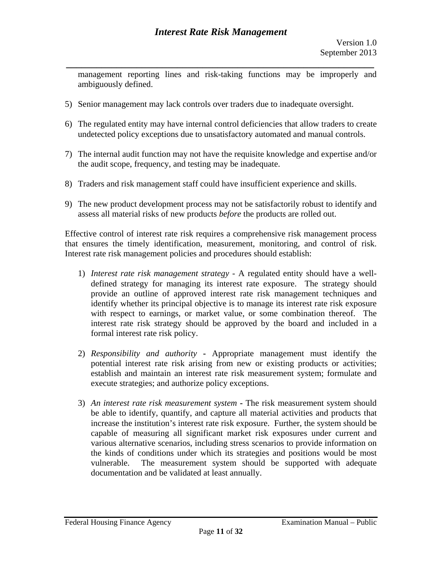*\_\_\_\_\_\_\_\_\_\_\_\_\_\_\_\_\_\_\_\_\_\_\_\_\_\_\_\_\_\_\_\_\_\_\_\_\_\_\_\_\_\_\_\_\_\_\_\_\_\_\_\_\_\_\_\_\_\_\_\_\_*  management reporting lines and risk-taking functions may be improperly and ambiguously defined.

- 5) Senior management may lack controls over traders due to inadequate oversight.
- 6) The regulated entity may have internal control deficiencies that allow traders to create undetected policy exceptions due to unsatisfactory automated and manual controls.
- 7) The internal audit function may not have the requisite knowledge and expertise and/or the audit scope, frequency, and testing may be inadequate.
- 8) Traders and risk management staff could have insufficient experience and skills.
- 9) The new product development process may not be satisfactorily robust to identify and assess all material risks of new products *before* the products are rolled out.

Effective control of interest rate risk requires a comprehensive risk management process that ensures the timely identification, measurement, monitoring, and control of risk. Interest rate risk management policies and procedures should establish:

- 1) *Interest rate risk management strategy -* A regulated entity should have a welldefined strategy for managing its interest rate exposure. The strategy should provide an outline of approved interest rate risk management techniques and identify whether its principal objective is to manage its interest rate risk exposure with respect to earnings, or market value, or some combination thereof. The interest rate risk strategy should be approved by the board and included in a formal interest rate risk policy.
- 2) *Responsibility and authority* **-** Appropriate management must identify the potential interest rate risk arising from new or existing products or activities; establish and maintain an interest rate risk measurement system; formulate and execute strategies; and authorize policy exceptions.
- 3) *An interest rate risk measurement system* **-** The risk measurement system should be able to identify, quantify, and capture all material activities and products that increase the institution's interest rate risk exposure. Further, the system should be capable of measuring all significant market risk exposures under current and various alternative scenarios, including stress scenarios to provide information on the kinds of conditions under which its strategies and positions would be most vulnerable. The measurement system should be supported with adequate documentation and be validated at least annually.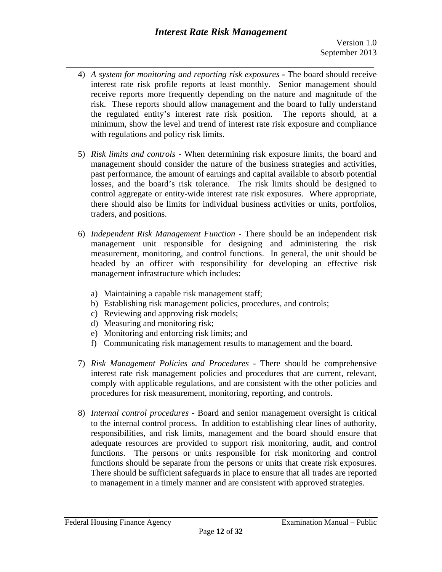- *\_\_\_\_\_\_\_\_\_\_\_\_\_\_\_\_\_\_\_\_\_\_\_\_\_\_\_\_\_\_\_\_\_\_\_\_\_\_\_\_\_\_\_\_\_\_\_\_\_\_\_\_\_\_\_\_\_\_\_\_\_*  4) *A system for monitoring and reporting risk exposures* **-** The board should receive interest rate risk profile reports at least monthly. Senior management should receive reports more frequently depending on the nature and magnitude of the risk. These reports should allow management and the board to fully understand the regulated entity's interest rate risk position. The reports should, at a minimum, show the level and trend of interest rate risk exposure and compliance with regulations and policy risk limits.
	- 5) *Risk limits and controls* **-** When determining risk exposure limits, the board and management should consider the nature of the business strategies and activities, past performance, the amount of earnings and capital available to absorb potential losses, and the board's risk tolerance. The risk limits should be designed to control aggregate or entity-wide interest rate risk exposures. Where appropriate, there should also be limits for individual business activities or units, portfolios, traders, and positions.
	- 6) *Independent Risk Management Function* There should be an independent risk management unit responsible for designing and administering the risk measurement, monitoring, and control functions. In general, the unit should be headed by an officer with responsibility for developing an effective risk management infrastructure which includes:
		- a) Maintaining a capable risk management staff;
		- b) Establishing risk management policies, procedures, and controls;
		- c) Reviewing and approving risk models;
		- d) Measuring and monitoring risk;
		- e) Monitoring and enforcing risk limits; and
		- f) Communicating risk management results to management and the board.
	- 7) *Risk Management Policies and Procedures* There should be comprehensive interest rate risk management policies and procedures that are current, relevant, comply with applicable regulations, and are consistent with the other policies and procedures for risk measurement, monitoring, reporting, and controls.
	- 8) *Internal control procedures* **-** Board and senior management oversight is critical to the internal control process. In addition to establishing clear lines of authority, responsibilities, and risk limits, management and the board should ensure that adequate resources are provided to support risk monitoring, audit, and control functions. The persons or units responsible for risk monitoring and control functions should be separate from the persons or units that create risk exposures. There should be sufficient safeguards in place to ensure that all trades are reported to management in a timely manner and are consistent with approved strategies.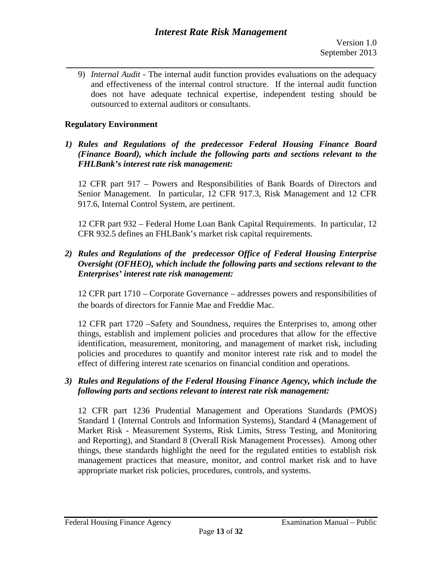9) *Internal Audit* - The internal audit function provides evaluations on the adequacy and effectiveness of the internal control structure. If the internal audit function does not have adequate technical expertise, independent testing should be outsourced to external auditors or consultants.

# **Regulatory Environment**

*1) Rules and Regulations of the predecessor Federal Housing Finance Board (Finance Board), which include the following parts and sections relevant to the FHLBank's interest rate risk management:* 

12 CFR part 917 – Powers and Responsibilities of Bank Boards of Directors and Senior Management. In particular, 12 CFR 917.3, Risk Management and 12 CFR 917.6, Internal Control System, are pertinent.

12 CFR part 932 – Federal Home Loan Bank Capital Requirements. In particular, 12 CFR 932.5 defines an FHLBank's market risk capital requirements.

# *2) Rules and Regulations of the predecessor Office of Federal Housing Enterprise Oversight (OFHEO), which include the following parts and sections relevant to the Enterprises' interest rate risk management:*

12 CFR part 1710 – Corporate Governance – addresses powers and responsibilities of the boards of directors for Fannie Mae and Freddie Mac.

12 CFR part 1720 –Safety and Soundness, requires the Enterprises to, among other things, establish and implement policies and procedures that allow for the effective identification, measurement, monitoring, and management of market risk, including policies and procedures to quantify and monitor interest rate risk and to model the effect of differing interest rate scenarios on financial condition and operations.

# *3) Rules and Regulations of the Federal Housing Finance Agency, which include the following parts and sections relevant to interest rate risk management:*

12 CFR part 1236 Prudential Management and Operations Standards (PMOS) Standard 1 (Internal Controls and Information Systems), Standard 4 (Management of Market Risk - Measurement Systems, Risk Limits, Stress Testing, and Monitoring and Reporting), and Standard 8 (Overall Risk Management Processes). Among other things, these standards highlight the need for the regulated entities to establish risk management practices that measure, monitor, and control market risk and to have appropriate market risk policies, procedures, controls, and systems.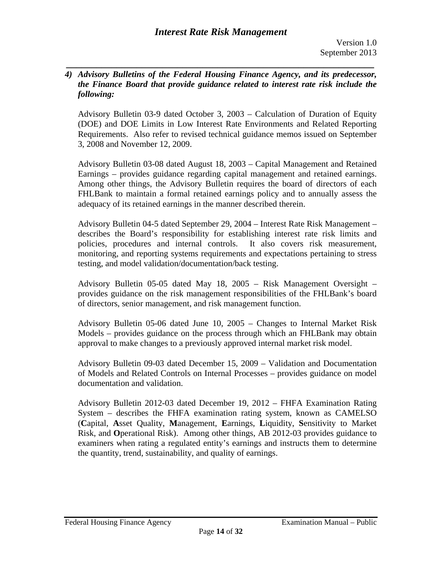### *4) Advisory Bulletins of the Federal Housing Finance Agency, and its predecessor, the Finance Board that provide guidance related to interest rate risk include the following:*

*\_\_\_\_\_\_\_\_\_\_\_\_\_\_\_\_\_\_\_\_\_\_\_\_\_\_\_\_\_\_\_\_\_\_\_\_\_\_\_\_\_\_\_\_\_\_\_\_\_\_\_\_\_\_\_\_\_\_\_\_\_* 

Advisory Bulletin 03-9 dated October 3, 2003 – Calculation of Duration of Equity (DOE) and DOE Limits in Low Interest Rate Environments and Related Reporting Requirements. Also refer to revised technical guidance memos issued on September 3, 2008 and November 12, 2009.

Advisory Bulletin 03-08 dated August 18, 2003 – Capital Management and Retained Earnings – provides guidance regarding capital management and retained earnings. Among other things, the Advisory Bulletin requires the board of directors of each FHLBank to maintain a formal retained earnings policy and to annually assess the adequacy of its retained earnings in the manner described therein.

Advisory Bulletin 04-5 dated September 29, 2004 – Interest Rate Risk Management – describes the Board's responsibility for establishing interest rate risk limits and policies, procedures and internal controls. It also covers risk measurement, monitoring, and reporting systems requirements and expectations pertaining to stress testing, and model validation/documentation/back testing.

Advisory Bulletin 05-05 dated May 18, 2005 – Risk Management Oversight – provides guidance on the risk management responsibilities of the FHLBank's board of directors, senior management, and risk management function.

Advisory Bulletin 05-06 dated June 10, 2005 – Changes to Internal Market Risk Models – provides guidance on the process through which an FHLBank may obtain approval to make changes to a previously approved internal market risk model.

Advisory Bulletin 09-03 dated December 15, 2009 – Validation and Documentation of Models and Related Controls on Internal Processes – provides guidance on model documentation and validation.

Advisory Bulletin 2012-03 dated December 19, 2012 – FHFA Examination Rating System – describes the FHFA examination rating system, known as CAMELSO (**C**apital, **A**sset Quality, **M**anagement, **E**arnings, **L**iquidity, **S**ensitivity to Market Risk, and **O**perational Risk). Among other things, AB 2012-03 provides guidance to examiners when rating a regulated entity's earnings and instructs them to determine the quantity, trend, sustainability, and quality of earnings.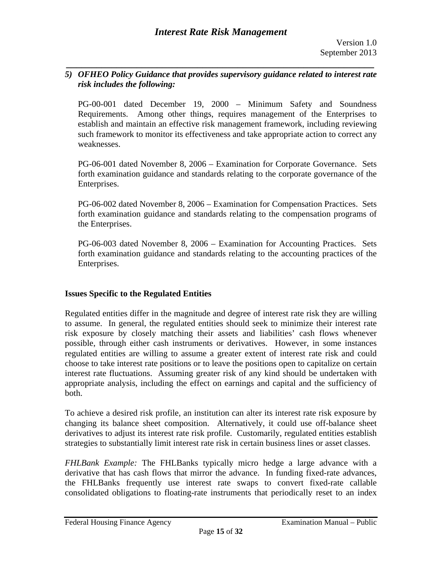# *5) OFHEO Policy Guidance that provides supervisory guidance related to interest rate risk includes the following:*

*\_\_\_\_\_\_\_\_\_\_\_\_\_\_\_\_\_\_\_\_\_\_\_\_\_\_\_\_\_\_\_\_\_\_\_\_\_\_\_\_\_\_\_\_\_\_\_\_\_\_\_\_\_\_\_\_\_\_\_\_\_* 

PG-00-001 dated December 19, 2000 – Minimum Safety and Soundness Requirements. Among other things, requires management of the Enterprises to establish and maintain an effective risk management framework, including reviewing such framework to monitor its effectiveness and take appropriate action to correct any weaknesses.

PG-06-001 dated November 8, 2006 – Examination for Corporate Governance. Sets forth examination guidance and standards relating to the corporate governance of the Enterprises.

PG-06-002 dated November 8, 2006 – Examination for Compensation Practices. Sets forth examination guidance and standards relating to the compensation programs of the Enterprises.

PG-06-003 dated November 8, 2006 – Examination for Accounting Practices. Sets forth examination guidance and standards relating to the accounting practices of the Enterprises.

# **Issues Specific to the Regulated Entities**

Regulated entities differ in the magnitude and degree of interest rate risk they are willing to assume. In general, the regulated entities should seek to minimize their interest rate risk exposure by closely matching their assets and liabilities' cash flows whenever possible, through either cash instruments or derivatives. However, in some instances regulated entities are willing to assume a greater extent of interest rate risk and could choose to take interest rate positions or to leave the positions open to capitalize on certain interest rate fluctuations. Assuming greater risk of any kind should be undertaken with appropriate analysis, including the effect on earnings and capital and the sufficiency of both.

To achieve a desired risk profile, an institution can alter its interest rate risk exposure by changing its balance sheet composition. Alternatively, it could use off-balance sheet derivatives to adjust its interest rate risk profile. Customarily, regulated entities establish strategies to substantially limit interest rate risk in certain business lines or asset classes.

*FHLBank Example:* The FHLBanks typically micro hedge a large advance with a derivative that has cash flows that mirror the advance. In funding fixed-rate advances, the FHLBanks frequently use interest rate swaps to convert fixed-rate callable consolidated obligations to floating-rate instruments that periodically reset to an index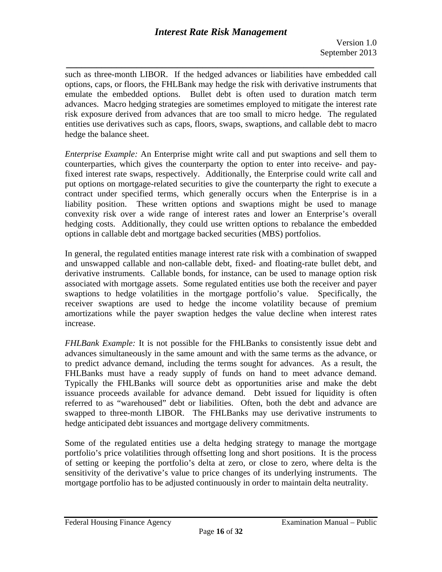*\_\_\_\_\_\_\_\_\_\_\_\_\_\_\_\_\_\_\_\_\_\_\_\_\_\_\_\_\_\_\_\_\_\_\_\_\_\_\_\_\_\_\_\_\_\_\_\_\_\_\_\_\_\_\_\_\_\_\_\_\_*  such as three-month LIBOR. If the hedged advances or liabilities have embedded call options, caps, or floors, the FHLBank may hedge the risk with derivative instruments that emulate the embedded options. Bullet debt is often used to duration match term advances. Macro hedging strategies are sometimes employed to mitigate the interest rate risk exposure derived from advances that are too small to micro hedge. The regulated entities use derivatives such as caps, floors, swaps, swaptions, and callable debt to macro hedge the balance sheet.

*Enterprise Example:* An Enterprise might write call and put swaptions and sell them to counterparties, which gives the counterparty the option to enter into receive- and payfixed interest rate swaps, respectively. Additionally, the Enterprise could write call and put options on mortgage-related securities to give the counterparty the right to execute a contract under specified terms, which generally occurs when the Enterprise is in a liability position. These written options and swaptions might be used to manage convexity risk over a wide range of interest rates and lower an Enterprise's overall hedging costs. Additionally, they could use written options to rebalance the embedded options in callable debt and mortgage backed securities (MBS) portfolios.

In general, the regulated entities manage interest rate risk with a combination of swapped and unswapped callable and non-callable debt, fixed- and floating-rate bullet debt, and derivative instruments. Callable bonds, for instance, can be used to manage option risk associated with mortgage assets. Some regulated entities use both the receiver and payer swaptions to hedge volatilities in the mortgage portfolio's value. Specifically, the receiver swaptions are used to hedge the income volatility because of premium amortizations while the payer swaption hedges the value decline when interest rates increase.

*FHLBank Example:* It is not possible for the FHLBanks to consistently issue debt and advances simultaneously in the same amount and with the same terms as the advance, or to predict advance demand, including the terms sought for advances. As a result, the FHLBanks must have a ready supply of funds on hand to meet advance demand. Typically the FHLBanks will source debt as opportunities arise and make the debt issuance proceeds available for advance demand. Debt issued for liquidity is often referred to as "warehoused" debt or liabilities. Often, both the debt and advance are swapped to three-month LIBOR. The FHLBanks may use derivative instruments to hedge anticipated debt issuances and mortgage delivery commitments.

Some of the regulated entities use a delta hedging strategy to manage the mortgage portfolio's price volatilities through offsetting long and short positions. It is the process of setting or keeping the portfolio's delta at zero, or close to zero, where delta is the sensitivity of the derivative's value to price changes of its underlying instruments. The mortgage portfolio has to be adjusted continuously in order to maintain delta neutrality.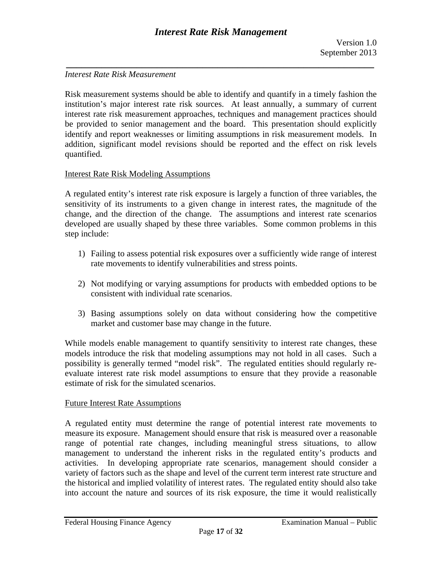## *Interest Rate Risk Measurement*

Risk measurement systems should be able to identify and quantify in a timely fashion the institution's major interest rate risk sources. At least annually, a summary of current interest rate risk measurement approaches, techniques and management practices should be provided to senior management and the board. This presentation should explicitly identify and report weaknesses or limiting assumptions in risk measurement models. In addition, significant model revisions should be reported and the effect on risk levels quantified.

### Interest Rate Risk Modeling Assumptions

A regulated entity's interest rate risk exposure is largely a function of three variables, the sensitivity of its instruments to a given change in interest rates, the magnitude of the change, and the direction of the change. The assumptions and interest rate scenarios developed are usually shaped by these three variables. Some common problems in this step include:

- 1) Failing to assess potential risk exposures over a sufficiently wide range of interest rate movements to identify vulnerabilities and stress points.
- 2) Not modifying or varying assumptions for products with embedded options to be consistent with individual rate scenarios.
- 3) Basing assumptions solely on data without considering how the competitive market and customer base may change in the future.

While models enable management to quantify sensitivity to interest rate changes, these models introduce the risk that modeling assumptions may not hold in all cases. Such a possibility is generally termed "model risk". The regulated entities should regularly reevaluate interest rate risk model assumptions to ensure that they provide a reasonable estimate of risk for the simulated scenarios.

# Future Interest Rate Assumptions

A regulated entity must determine the range of potential interest rate movements to measure its exposure. Management should ensure that risk is measured over a reasonable range of potential rate changes, including meaningful stress situations, to allow management to understand the inherent risks in the regulated entity's products and activities. In developing appropriate rate scenarios, management should consider a variety of factors such as the shape and level of the current term interest rate structure and the historical and implied volatility of interest rates. The regulated entity should also take into account the nature and sources of its risk exposure, the time it would realistically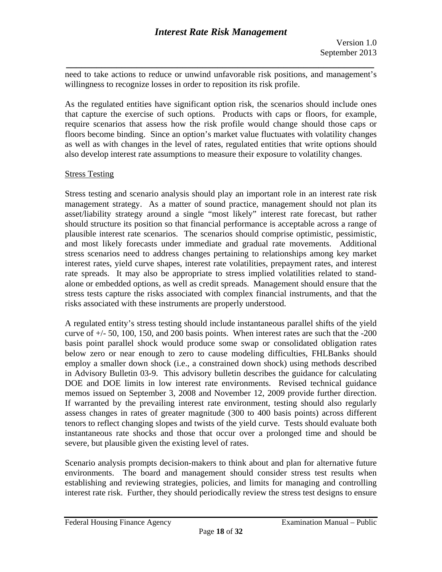*\_\_\_\_\_\_\_\_\_\_\_\_\_\_\_\_\_\_\_\_\_\_\_\_\_\_\_\_\_\_\_\_\_\_\_\_\_\_\_\_\_\_\_\_\_\_\_\_\_\_\_\_\_\_\_\_\_\_\_\_\_*  need to take actions to reduce or unwind unfavorable risk positions, and management's willingness to recognize losses in order to reposition its risk profile.

As the regulated entities have significant option risk, the scenarios should include ones that capture the exercise of such options. Products with caps or floors, for example, require scenarios that assess how the risk profile would change should those caps or floors become binding. Since an option's market value fluctuates with volatility changes as well as with changes in the level of rates, regulated entities that write options should also develop interest rate assumptions to measure their exposure to volatility changes.

# Stress Testing

Stress testing and scenario analysis should play an important role in an interest rate risk management strategy. As a matter of sound practice, management should not plan its asset/liability strategy around a single "most likely" interest rate forecast, but rather should structure its position so that financial performance is acceptable across a range of plausible interest rate scenarios. The scenarios should comprise optimistic, pessimistic, and most likely forecasts under immediate and gradual rate movements. Additional stress scenarios need to address changes pertaining to relationships among key market interest rates, yield curve shapes, interest rate volatilities, prepayment rates, and interest rate spreads. It may also be appropriate to stress implied volatilities related to standalone or embedded options, as well as credit spreads. Management should ensure that the stress tests capture the risks associated with complex financial instruments, and that the risks associated with these instruments are properly understood.

A regulated entity's stress testing should include instantaneous parallel shifts of the yield curve of  $+/-$  50, 100, 150, and 200 basis points. When interest rates are such that the  $-200$ basis point parallel shock would produce some swap or consolidated obligation rates below zero or near enough to zero to cause modeling difficulties, FHLBanks should employ a smaller down shock (i.e., a constrained down shock) using methods described in Advisory Bulletin 03-9. This advisory bulletin describes the guidance for calculating DOE and DOE limits in low interest rate environments. Revised technical guidance memos issued on September 3, 2008 and November 12, 2009 provide further direction. If warranted by the prevailing interest rate environment, testing should also regularly assess changes in rates of greater magnitude (300 to 400 basis points) across different tenors to reflect changing slopes and twists of the yield curve. Tests should evaluate both instantaneous rate shocks and those that occur over a prolonged time and should be severe, but plausible given the existing level of rates.

Scenario analysis prompts decision-makers to think about and plan for alternative future environments. The board and management should consider stress test results when establishing and reviewing strategies, policies, and limits for managing and controlling interest rate risk. Further, they should periodically review the stress test designs to ensure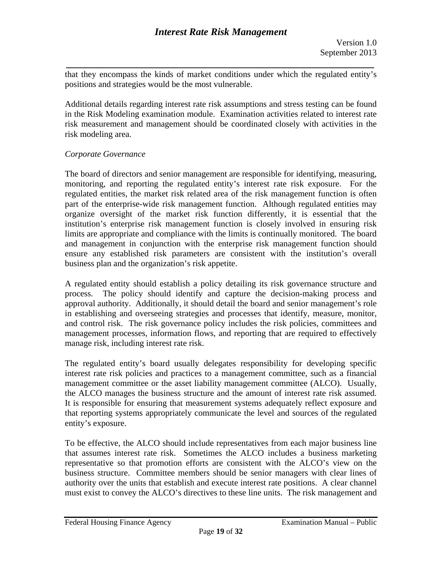*\_\_\_\_\_\_\_\_\_\_\_\_\_\_\_\_\_\_\_\_\_\_\_\_\_\_\_\_\_\_\_\_\_\_\_\_\_\_\_\_\_\_\_\_\_\_\_\_\_\_\_\_\_\_\_\_\_\_\_\_\_*  that they encompass the kinds of market conditions under which the regulated entity's positions and strategies would be the most vulnerable.

Additional details regarding interest rate risk assumptions and stress testing can be found in the Risk Modeling examination module. Examination activities related to interest rate risk measurement and management should be coordinated closely with activities in the risk modeling area.

# *Corporate Governance*

The board of directors and senior management are responsible for identifying, measuring, monitoring, and reporting the regulated entity's interest rate risk exposure. For the regulated entities, the market risk related area of the risk management function is often part of the enterprise-wide risk management function. Although regulated entities may organize oversight of the market risk function differently, it is essential that the institution's enterprise risk management function is closely involved in ensuring risk limits are appropriate and compliance with the limits is continually monitored. The board and management in conjunction with the enterprise risk management function should ensure any established risk parameters are consistent with the institution's overall business plan and the organization's risk appetite.

A regulated entity should establish a policy detailing its risk governance structure and process. The policy should identify and capture the decision-making process and approval authority. Additionally, it should detail the board and senior management's role in establishing and overseeing strategies and processes that identify, measure, monitor, and control risk. The risk governance policy includes the risk policies, committees and management processes, information flows, and reporting that are required to effectively manage risk, including interest rate risk.

The regulated entity's board usually delegates responsibility for developing specific interest rate risk policies and practices to a management committee, such as a financial management committee or the asset liability management committee (ALCO). Usually, the ALCO manages the business structure and the amount of interest rate risk assumed. It is responsible for ensuring that measurement systems adequately reflect exposure and that reporting systems appropriately communicate the level and sources of the regulated entity's exposure.

To be effective, the ALCO should include representatives from each major business line that assumes interest rate risk. Sometimes the ALCO includes a business marketing representative so that promotion efforts are consistent with the ALCO's view on the business structure. Committee members should be senior managers with clear lines of authority over the units that establish and execute interest rate positions. A clear channel must exist to convey the ALCO's directives to these line units. The risk management and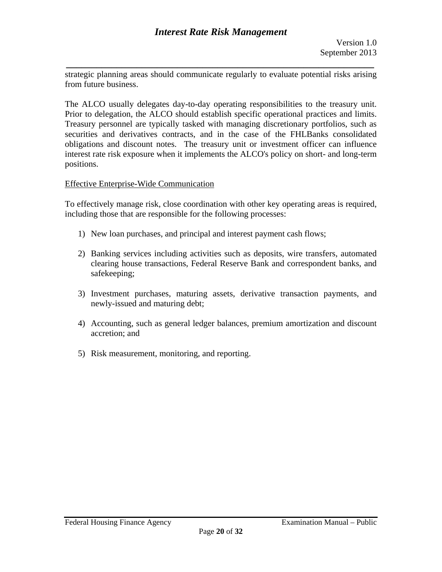*\_\_\_\_\_\_\_\_\_\_\_\_\_\_\_\_\_\_\_\_\_\_\_\_\_\_\_\_\_\_\_\_\_\_\_\_\_\_\_\_\_\_\_\_\_\_\_\_\_\_\_\_\_\_\_\_\_\_\_\_\_*  strategic planning areas should communicate regularly to evaluate potential risks arising from future business.

The ALCO usually delegates day-to-day operating responsibilities to the treasury unit. Prior to delegation, the ALCO should establish specific operational practices and limits. Treasury personnel are typically tasked with managing discretionary portfolios, such as securities and derivatives contracts, and in the case of the FHLBanks consolidated obligations and discount notes. The treasury unit or investment officer can influence interest rate risk exposure when it implements the ALCO's policy on short- and long-term positions.

# Effective Enterprise-Wide Communication

To effectively manage risk, close coordination with other key operating areas is required, including those that are responsible for the following processes:

- 1) New loan purchases, and principal and interest payment cash flows;
- 2) Banking services including activities such as deposits, wire transfers, automated clearing house transactions, Federal Reserve Bank and correspondent banks, and safekeeping;
- 3) Investment purchases, maturing assets, derivative transaction payments, and newly-issued and maturing debt;
- 4) Accounting, such as general ledger balances, premium amortization and discount accretion; and
- 5) Risk measurement, monitoring, and reporting.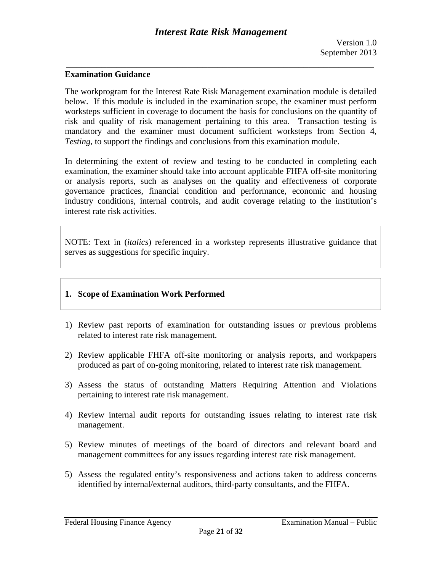### **Examination Guidance**

The workprogram for the Interest Rate Risk Management examination module is detailed below. If this module is included in the examination scope, the examiner must perform worksteps sufficient in coverage to document the basis for conclusions on the quantity of risk and quality of risk management pertaining to this area. Transaction testing is mandatory and the examiner must document sufficient worksteps from Section 4, *Testing,* to support the findings and conclusions from this examination module.

In determining the extent of review and testing to be conducted in completing each examination, the examiner should take into account applicable FHFA off-site monitoring or analysis reports, such as analyses on the quality and effectiveness of corporate governance practices, financial condition and performance, economic and housing industry conditions, internal controls, and audit coverage relating to the institution's interest rate risk activities.

NOTE: Text in (*italics*) referenced in a workstep represents illustrative guidance that serves as suggestions for specific inquiry.

### **1. Scope of Examination Work Performed**

- 1) Review past reports of examination for outstanding issues or previous problems related to interest rate risk management.
- 2) Review applicable FHFA off-site monitoring or analysis reports, and workpapers produced as part of on-going monitoring, related to interest rate risk management.
- 3) Assess the status of outstanding Matters Requiring Attention and Violations pertaining to interest rate risk management.
- 4) Review internal audit reports for outstanding issues relating to interest rate risk management.
- 5) Review minutes of meetings of the board of directors and relevant board and management committees for any issues regarding interest rate risk management.
- 5) Assess the regulated entity's responsiveness and actions taken to address concerns identified by internal/external auditors, third-party consultants, and the FHFA.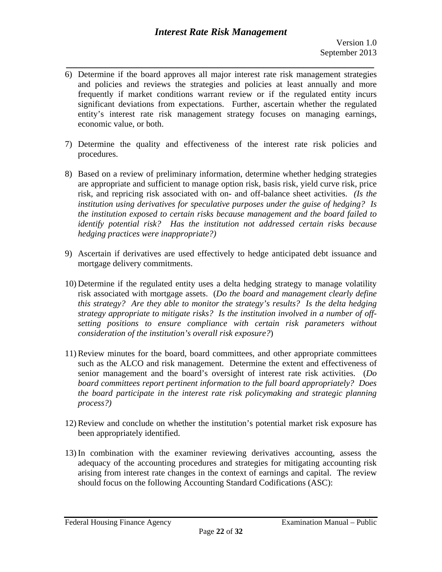- *\_\_\_\_\_\_\_\_\_\_\_\_\_\_\_\_\_\_\_\_\_\_\_\_\_\_\_\_\_\_\_\_\_\_\_\_\_\_\_\_\_\_\_\_\_\_\_\_\_\_\_\_\_\_\_\_\_\_\_\_\_*  6) Determine if the board approves all major interest rate risk management strategies and policies and reviews the strategies and policies at least annually and more frequently if market conditions warrant review or if the regulated entity incurs significant deviations from expectations. Further, ascertain whether the regulated entity's interest rate risk management strategy focuses on managing earnings, economic value, or both.
- 7) Determine the quality and effectiveness of the interest rate risk policies and procedures.
- 8) Based on a review of preliminary information, determine whether hedging strategies are appropriate and sufficient to manage option risk, basis risk, yield curve risk, price risk, and repricing risk associated with on- and off-balance sheet activities. *(Is the institution using derivatives for speculative purposes under the guise of hedging? Is the institution exposed to certain risks because management and the board failed to identify potential risk? Has the institution not addressed certain risks because hedging practices were inappropriate?)*
- 9) Ascertain if derivatives are used effectively to hedge anticipated debt issuance and mortgage delivery commitments.
- 10) Determine if the regulated entity uses a delta hedging strategy to manage volatility risk associated with mortgage assets. (*Do the board and management clearly define this strategy? Are they able to monitor the strategy's results? Is the delta hedging strategy appropriate to mitigate risks? Is the institution involved in a number of offsetting positions to ensure compliance with certain risk parameters without consideration of the institution's overall risk exposure?*)
- *process?)* 11) Review minutes for the board, board committees, and other appropriate committees such as the ALCO and risk management. Determine the extent and effectiveness of senior management and the board's oversight of interest rate risk activities. (*Do board committees report pertinent information to the full board appropriately? Does the board participate in the interest rate risk policymaking and strategic planning*
- 12) Review and conclude on whether the institution's potential market risk exposure has been appropriately identified.
- 13) In combination with the examiner reviewing derivatives accounting, assess the adequacy of the accounting procedures and strategies for mitigating accounting risk arising from interest rate changes in the context of earnings and capital. The review should focus on the following Accounting Standard Codifications (ASC):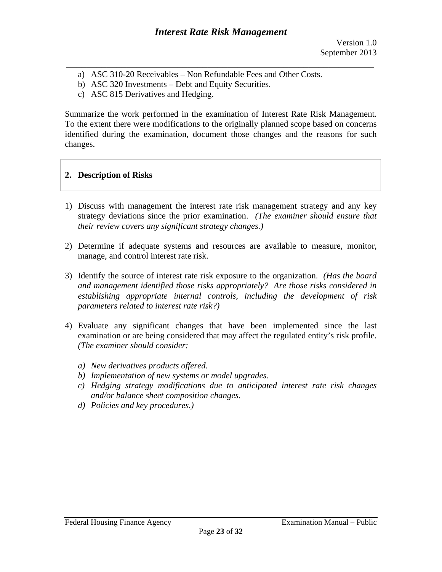- a) ASC 310-20 Receivables Non Refundable Fees and Other Costs.
- b) ASC 320 Investments Debt and Equity Securities.
- c) ASC 815 Derivatives and Hedging.

Summarize the work performed in the examination of Interest Rate Risk Management. To the extent there were modifications to the originally planned scope based on concerns identified during the examination, document those changes and the reasons for such changes.

# **2. Description of Risks**

- 1) Discuss with management the interest rate risk management strategy and any key strategy deviations since the prior examination. *(The examiner should ensure that their review covers any significant strategy changes.)*
- 2) Determine if adequate systems and resources are available to measure, monitor, manage, and control interest rate risk.
- *parameters related to interest rate risk?)* 3) Identify the source of interest rate risk exposure to the organization. *(Has the board and management identified those risks appropriately? Are those risks considered in establishing appropriate internal controls, including the development of risk*
- 4) Evaluate any significant changes that have been implemented since the last examination or are being considered that may affect the regulated entity's risk profile. *(The examiner should consider:* 
	- *a) New derivatives products offered.*
	- *b) Implementation of new systems or model upgrades.*
	- *c) Hedging strategy modifications due to anticipated interest rate risk changes and/or balance sheet composition changes.*
	- *d) Policies and key procedures.)*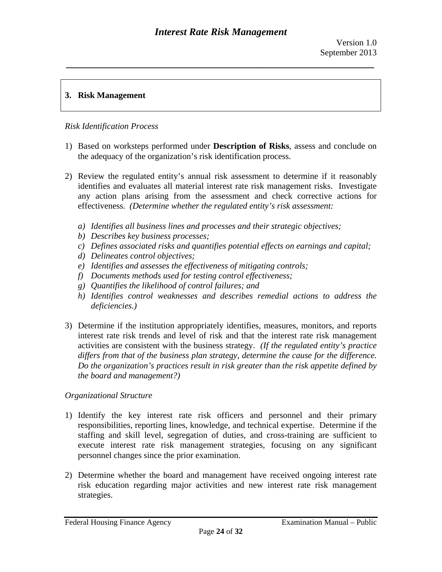# **3. Risk Management**

# *Risk Identification Process*

- 1) Based on worksteps performed under **Description of Risks**, assess and conclude on the adequacy of the organization's risk identification process.
- 2) Review the regulated entity's annual risk assessment to determine if it reasonably identifies and evaluates all material interest rate risk management risks. Investigate any action plans arising from the assessment and check corrective actions for effectiveness. *(Determine whether the regulated entity's risk assessment:* 
	- *a) Identifies all business lines and processes and their strategic objectives;*
	- *b) Describes key business processes;*
	- *c) Defines associated risks and quantifies potential effects on earnings and capital;*
	- *d) Delineates control objectives;*
	- *e) Identifies and assesses the effectiveness of mitigating controls;*
	- *f) Documents methods used for testing control effectiveness;*
	- *g) Quantifies the likelihood of control failures; and*
	- *h) Identifies control weaknesses and describes remedial actions to address the deficiencies.)*
- differs from that of the business plan strategy, determine the cause for the difference. *the board and management?) Organizational Structure*  3) Determine if the institution appropriately identifies, measures, monitors, and reports interest rate risk trends and level of risk and that the interest rate risk management activities are consistent with the business strategy. *(If the regulated entity's practice Do the organization's practices result in risk greater than the risk appetite defined by*

- 1) Identify the key interest rate risk officers and personnel and their primary responsibilities, reporting lines, knowledge, and technical expertise. Determine if the staffing and skill level, segregation of duties, and cross-training are sufficient to execute interest rate risk management strategies, focusing on any significant personnel changes since the prior examination.
- 2) Determine whether the board and management have received ongoing interest rate risk education regarding major activities and new interest rate risk management strategies.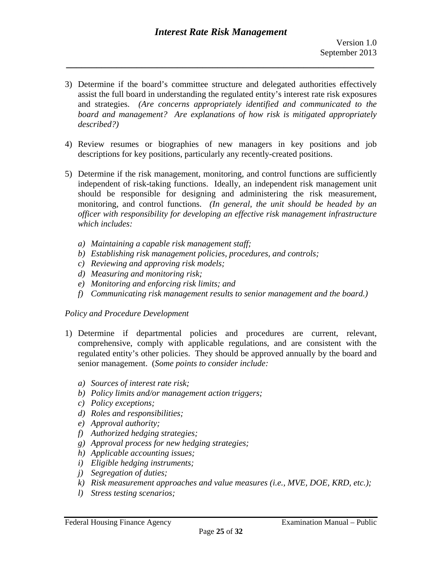- *described?)* 3) Determine if the board's committee structure and delegated authorities effectively assist the full board in understanding the regulated entity's interest rate risk exposures and strategies. *(Are concerns appropriately identified and communicated to the board and management? Are explanations of how risk is mitigated appropriately*
- 4) Review resumes or biographies of new managers in key positions and job descriptions for key positions, particularly any recently-created positions.
- 5) Determine if the risk management, monitoring, and control functions are sufficiently independent of risk-taking functions. Ideally, an independent risk management unit should be responsible for designing and administering the risk measurement, monitoring, and control functions. *(In general, the unit should be headed by an officer with responsibility for developing an effective risk management infrastructure which includes:* 
	- *a) Maintaining a capable risk management staff;*
	- *b) Establishing risk management policies, procedures, and controls;*
	- *c) Reviewing and approving risk models;*
	- *d) Measuring and monitoring risk;*
	- *e) Monitoring and enforcing risk limits; and*
	- *f) Communicating risk management results to senior management and the board.)*

### *Policy and Procedure Development*

- 1) Determine if departmental policies and procedures are current, relevant, comprehensive, comply with applicable regulations, and are consistent with the regulated entity's other policies. They should be approved annually by the board and senior management. (*Some points to consider include:* 
	- *a) Sources of interest rate risk;*
	- *b) Policy limits and/or management action triggers;*
	- *c) Policy exceptions;*
	- *d) Roles and responsibilities;*
	- *e) Approval authority;*
	- *f) Authorized hedging strategies;*
	- *g) Approval process for new hedging strategies;*
	- *h) Applicable accounting issues;*
	- *i) Eligible hedging instruments;*
	- *j) Segregation of duties;*
	- *k) Risk measurement approaches and value measures (i.e., MVE, DOE, KRD, etc.);*
	- *l) Stress testing scenarios;*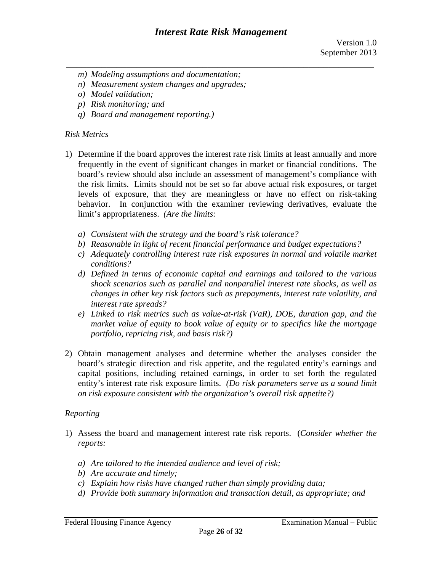- *m) Modeling assumptions and documentation;*
- *n) Measurement system changes and upgrades;*
- *o) Model validation;*
- *p) Risk monitoring; and*
- *q) Board and management reporting.)*

# *Risk Metrics*

- 1) Determine if the board approves the interest rate risk limits at least annually and more frequently in the event of significant changes in market or financial conditions. The board's review should also include an assessment of management's compliance with the risk limits. Limits should not be set so far above actual risk exposures, or target levels of exposure, that they are meaningless or have no effect on risk-taking behavior. In conjunction with the examiner reviewing derivatives, evaluate the limit's appropriateness. *(Are the limits:* 
	- *a) Consistent with the strategy and the board's risk tolerance?*
	- *b) Reasonable in light of recent financial performance and budget expectations?*
	- *c) Adequately controlling interest rate risk exposures in normal and volatile market conditions?*
	- *d) Defined in terms of economic capital and earnings and tailored to the various shock scenarios such as parallel and nonparallel interest rate shocks, as well as changes in other key risk factors such as prepayments, interest rate volatility, and interest rate spreads?*
	- *e) Linked to risk metrics such as value-at-risk (VaR), DOE, duration gap, and the market value of equity to book value of equity or to specifics like the mortgage portfolio, repricing risk, and basis risk?)*
- *on risk exposure consistent with the organization's overall risk appetite?) Reporting*  2) Obtain management analyses and determine whether the analyses consider the board's strategic direction and risk appetite, and the regulated entity's earnings and capital positions, including retained earnings, in order to set forth the regulated entity's interest rate risk exposure limits. *(Do risk parameters serve as a sound limit*

- 1) Assess the board and management interest rate risk reports. (*Consider whether the reports:* 
	- *a) Are tailored to the intended audience and level of risk;*
	- *b) Are accurate and timely;*
	- *c) Explain how risks have changed rather than simply providing data;*
	- *d) Provide both summary information and transaction detail, as appropriate; and*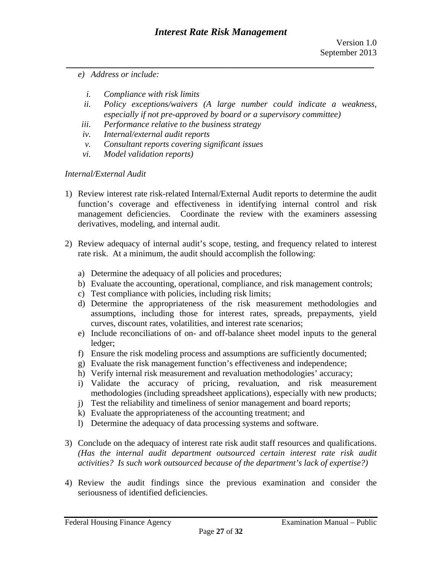- *e) Address or include:* 
	- *i. Compliance with risk limits*
	- *ii. Policy exceptions/waivers (A large number could indicate a weakness, especially if not pre-approved by board or a supervisory committee)*
- *iii. Performance relative to the business strategy*
- *iv. Internal/external audit reports*
- *v. Consultant reports covering significant issues*
- *vi. Model validation reports)*

### *Internal/External Audit*

- 1) Review interest rate risk-related Internal/External Audit reports to determine the audit function's coverage and effectiveness in identifying internal control and risk management deficiencies. Coordinate the review with the examiners assessing derivatives, modeling, and internal audit.
- 2) Review adequacy of internal audit's scope, testing, and frequency related to interest rate risk. At a minimum, the audit should accomplish the following:
	- a) Determine the adequacy of all policies and procedures;
	- b) Evaluate the accounting, operational, compliance, and risk management controls;
	- c) Test compliance with policies, including risk limits;
	- d) Determine the appropriateness of the risk measurement methodologies and assumptions, including those for interest rates, spreads, prepayments, yield curves, discount rates, volatilities, and interest rate scenarios;
	- e) Include reconciliations of on- and off-balance sheet model inputs to the general ledger;
	- f) Ensure the risk modeling process and assumptions are sufficiently documented;
	- g) Evaluate the risk management function's effectiveness and independence;
	- h) Verify internal risk measurement and revaluation methodologies' accuracy;
	- i) Validate the accuracy of pricing, revaluation, and risk measurement methodologies (including spreadsheet applications), especially with new products;
	- j) Test the reliability and timeliness of senior management and board reports;
	- k) Evaluate the appropriateness of the accounting treatment; and
	- l) Determine the adequacy of data processing systems and software.
- *activities? Is such work outsourced because of the department's lack of expertise?)* 3) Conclude on the adequacy of interest rate risk audit staff resources and qualifications. *(Has the internal audit department outsourced certain interest rate risk audit*
- 4) Review the audit findings since the previous examination and consider the seriousness of identified deficiencies.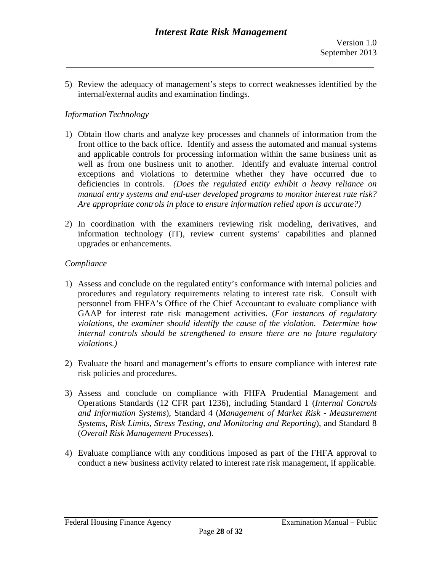5) Review the adequacy of management's steps to correct weaknesses identified by the internal/external audits and examination findings.

*\_\_\_\_\_\_\_\_\_\_\_\_\_\_\_\_\_\_\_\_\_\_\_\_\_\_\_\_\_\_\_\_\_\_\_\_\_\_\_\_\_\_\_\_\_\_\_\_\_\_\_\_\_\_\_\_\_\_\_\_\_* 

# *Information Technology*

- manual entry systems and end-user developed programs to monitor interest rate risk?<br>Are appropriate controls in place to ensure information relied upon is accurate?) Are appropriate controls in place to ensure information relied upon is accurate?) 1) Obtain flow charts and analyze key processes and channels of information from the front office to the back office. Identify and assess the automated and manual systems and applicable controls for processing information within the same business unit as well as from one business unit to another. Identify and evaluate internal control exceptions and violations to determine whether they have occurred due to deficiencies in controls. *(Does the regulated entity exhibit a heavy reliance on*
- 2) In coordination with the examiners reviewing risk modeling, derivatives, and information technology (IT), review current systems' capabilities and planned upgrades or enhancements.

# *Compliance*

- *violations.)* 1) Assess and conclude on the regulated entity's conformance with internal policies and procedures and regulatory requirements relating to interest rate risk. Consult with personnel from FHFA's Office of the Chief Accountant to evaluate compliance with GAAP for interest rate risk management activities. (*For instances of regulatory violations, the examiner should identify the cause of the violation. Determine how internal controls should be strengthened to ensure there are no future regulatory*
- 2) Evaluate the board and management's efforts to ensure compliance with interest rate risk policies and procedures.
- 3) Assess and conclude on compliance with FHFA Prudential Management and Operations Standards (12 CFR part 1236), including Standard 1 (*Internal Controls and Information Systems*), Standard 4 (*Management of Market Risk - Measurement Systems, Risk Limits, Stress Testing, and Monitoring and Reporting*), and Standard 8 (*Overall Risk Management Processes*).
- 4) Evaluate compliance with any conditions imposed as part of the FHFA approval to conduct a new business activity related to interest rate risk management, if applicable.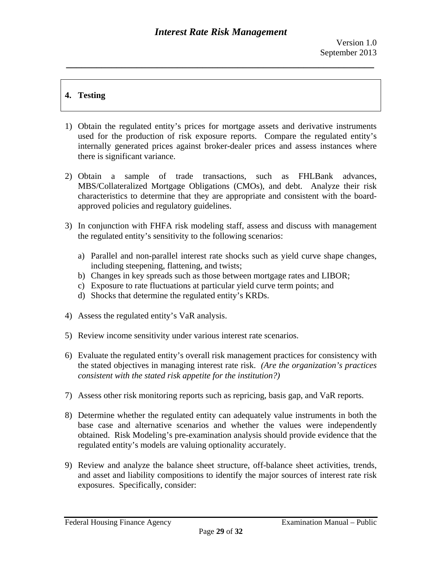# **4. Testing**

- 1) Obtain the regulated entity's prices for mortgage assets and derivative instruments used for the production of risk exposure reports. Compare the regulated entity's internally generated prices against broker-dealer prices and assess instances where there is significant variance.
- 2) Obtain a sample of trade transactions, such as FHLBank advances, MBS/Collateralized Mortgage Obligations (CMOs), and debt. Analyze their risk characteristics to determine that they are appropriate and consistent with the boardapproved policies and regulatory guidelines.
- 3) In conjunction with FHFA risk modeling staff, assess and discuss with management the regulated entity's sensitivity to the following scenarios:
	- a) Parallel and non-parallel interest rate shocks such as yield curve shape changes, including steepening, flattening, and twists;
	- b) Changes in key spreads such as those between mortgage rates and LIBOR;
	- c) Exposure to rate fluctuations at particular yield curve term points; and
	- d) Shocks that determine the regulated entity's KRDs.
- 4) Assess the regulated entity's VaR analysis.
- 5) Review income sensitivity under various interest rate scenarios.
- *consistent with the stated risk appetite for the institution?)* 6) Evaluate the regulated entity's overall risk management practices for consistency with the stated objectives in managing interest rate risk. *(Are the organization's practices*
- 7) Assess other risk monitoring reports such as repricing, basis gap, and VaR reports.
- 8) Determine whether the regulated entity can adequately value instruments in both the base case and alternative scenarios and whether the values were independently obtained. Risk Modeling's pre-examination analysis should provide evidence that the regulated entity's models are valuing optionality accurately.
- 9) Review and analyze the balance sheet structure, off-balance sheet activities, trends, and asset and liability compositions to identify the major sources of interest rate risk exposures. Specifically, consider: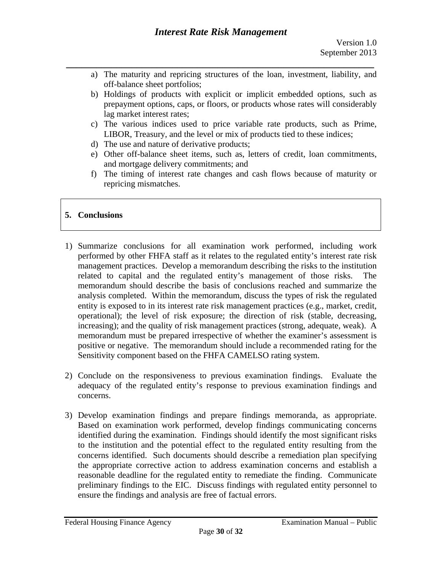- *\_\_\_\_\_\_\_\_\_\_\_\_\_\_\_\_\_\_\_\_\_\_\_\_\_\_\_\_\_\_\_\_\_\_\_\_\_\_\_\_\_\_\_\_\_\_\_\_\_\_\_\_\_\_\_\_\_\_\_\_\_*  a) The maturity and repricing structures of the loan, investment, liability, and off-balance sheet portfolios;
	- b) Holdings of products with explicit or implicit embedded options, such as prepayment options, caps, or floors, or products whose rates will considerably lag market interest rates;
	- c) The various indices used to price variable rate products, such as Prime, LIBOR, Treasury, and the level or mix of products tied to these indices;
	- d) The use and nature of derivative products;
	- e) Other off-balance sheet items, such as, letters of credit, loan commitments, and mortgage delivery commitments; and
	- f) The timing of interest rate changes and cash flows because of maturity or repricing mismatches.

# **5. Conclusions**

- 1) Summarize conclusions for all examination work performed, including work performed by other FHFA staff as it relates to the regulated entity's interest rate risk management practices. Develop a memorandum describing the risks to the institution related to capital and the regulated entity's management of those risks. The memorandum should describe the basis of conclusions reached and summarize the analysis completed. Within the memorandum, discuss the types of risk the regulated entity is exposed to in its interest rate risk management practices (e.g., market, credit, operational); the level of risk exposure; the direction of risk (stable, decreasing, increasing); and the quality of risk management practices (strong, adequate, weak). A memorandum must be prepared irrespective of whether the examiner's assessment is positive or negative. The memorandum should include a recommended rating for the Sensitivity component based on the FHFA CAMELSO rating system.
- 2) Conclude on the responsiveness to previous examination findings. Evaluate the adequacy of the regulated entity's response to previous examination findings and concerns.
- 3) Develop examination findings and prepare findings memoranda, as appropriate. Based on examination work performed, develop findings communicating concerns identified during the examination. Findings should identify the most significant risks to the institution and the potential effect to the regulated entity resulting from the concerns identified. Such documents should describe a remediation plan specifying the appropriate corrective action to address examination concerns and establish a reasonable deadline for the regulated entity to remediate the finding. Communicate preliminary findings to the EIC. Discuss findings with regulated entity personnel to ensure the findings and analysis are free of factual errors.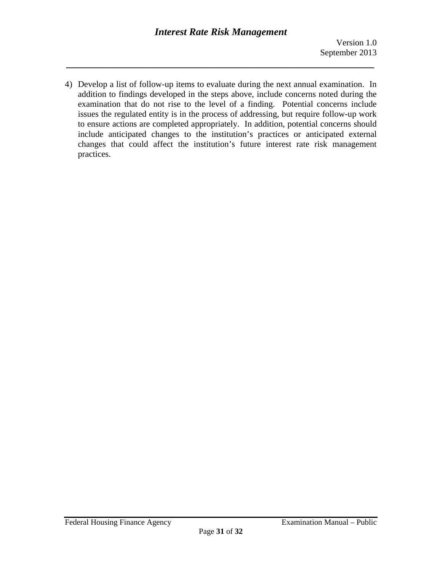4) Develop a list of follow-up items to evaluate during the next annual examination. In addition to findings developed in the steps above, include concerns noted during the examination that do not rise to the level of a finding. Potential concerns include issues the regulated entity is in the process of addressing, but require follow-up work to ensure actions are completed appropriately. In addition, potential concerns should include anticipated changes to the institution's practices or anticipated external changes that could affect the institution's future interest rate risk management practices.